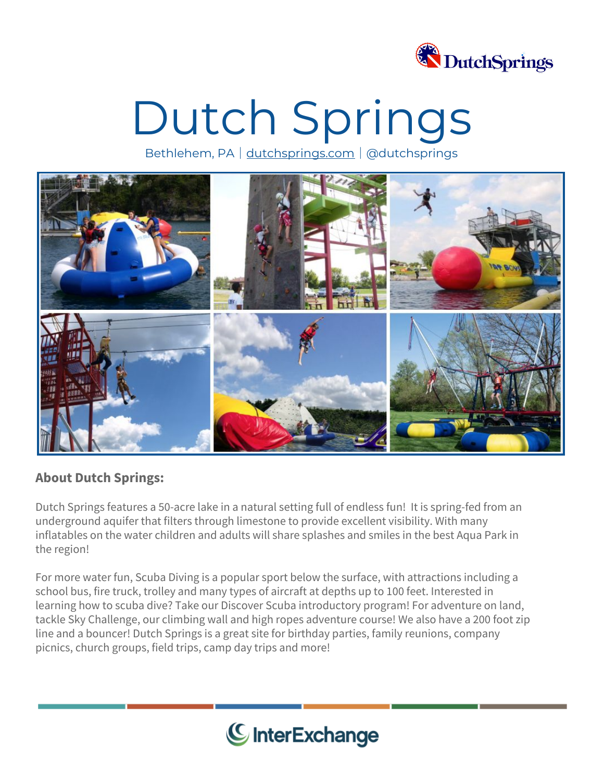

# Dutch Springs

Bethlehem, PA│[dutchsprings.com](https://www.dutchsprings.com/)│@dutchsprings



### **About Dutch Springs:**

Dutch Springs features a 50-acre lake in a natural setting full of endless fun! It is spring-fed from an underground aquifer that filters through limestone to provide excellent visibility. With many inflatables on the water children and adults will share splashes and smiles in the best Aqua Park in the region!

For more water fun, Scuba Diving is a popular sport below the surface, with attractions including a school bus, fire truck, trolley and many types of aircraft at depths up to 100 feet. Interested in learning how to scuba dive? Take our Discover Scuba introductory program! For adventure on land, tackle Sky Challenge, our climbing wall and high ropes adventure course! We also have a 200 foot zip line and a bouncer! Dutch Springs is a great site for birthday parties, family reunions, company picnics, church groups, field trips, camp day trips and more!

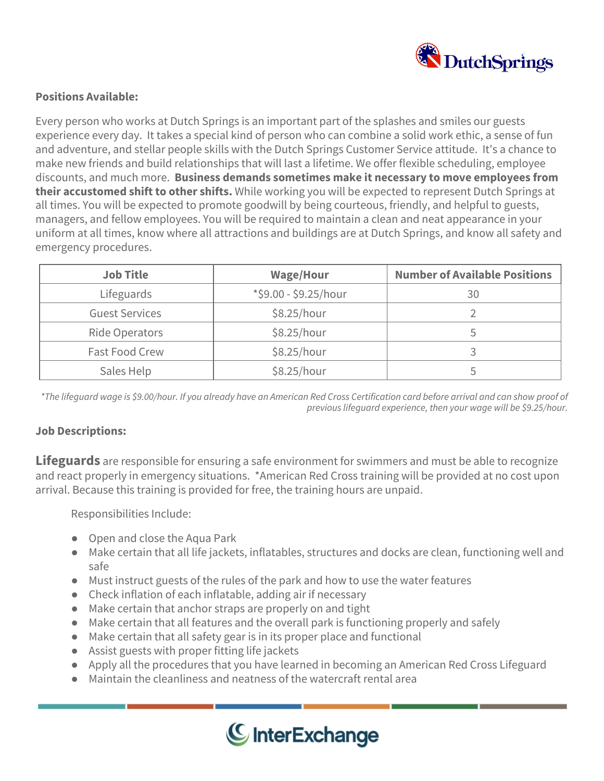![](_page_1_Picture_0.jpeg)

#### **Positions Available:**

Every person who works at Dutch Springs is an important part of the splashes and smiles our guests experience every day. It takes a special kind of person who can combine a solid work ethic, a sense of fun and adventure, and stellar people skills with the Dutch Springs Customer Service attitude. It's a chance to make new friends and build relationships that will last a lifetime. We offer flexible scheduling, employee discounts, and much more. **Business demands sometimes make it necessary to move employees from their accustomed shift to other shifts.** While working you will be expected to represent Dutch Springs at all times. You will be expected to promote goodwill by being courteous, friendly, and helpful to guests, managers, and fellow employees. You will be required to maintain a clean and neat appearance in your uniform at all times, know where all attractions and buildings are at Dutch Springs, and know all safety and emergency procedures.

| <b>Job Title</b>      | <b>Wage/Hour</b>      | <b>Number of Available Positions</b> |
|-----------------------|-----------------------|--------------------------------------|
| Lifeguards            | *\$9.00 - \$9.25/hour | 30                                   |
| <b>Guest Services</b> | \$8.25/hour           |                                      |
| Ride Operators        | \$8.25/hour           |                                      |
| Fast Food Crew        | \$8.25/hour           |                                      |
| Sales Help            | \$8.25/hour           |                                      |

\*The lifequard wage is \$9.00/hour. If you already have an American Red Cross Certification card before arrival and can show proof of *previous lifeguard experience, then your wage will be \$9.25/hour.*

#### **Job Descriptions:**

**Lifeguards** are responsible for ensuring a safe environment for swimmers and must be able to recognize and react properly in emergency situations. \*American Red Cross training will be provided at no cost upon arrival. Because this training is provided for free, the training hours are unpaid.

Responsibilities Include:

- Open and close the Aqua Park
- Make certain that all life jackets, inflatables, structures and docks are clean, functioning well and safe
- Must instruct guests of the rules of the park and how to use the water features
- Check inflation of each inflatable, adding air if necessary
- Make certain that anchor straps are properly on and tight
- Make certain that all features and the overall park is functioning properly and safely
- Make certain that all safety gear is in its proper place and functional
- Assist guests with proper fitting life jackets
- Apply all the procedures that you have learned in becoming an American Red Cross Lifeguard
- Maintain the cleanliness and neatness of the watercraft rental area

![](_page_1_Picture_18.jpeg)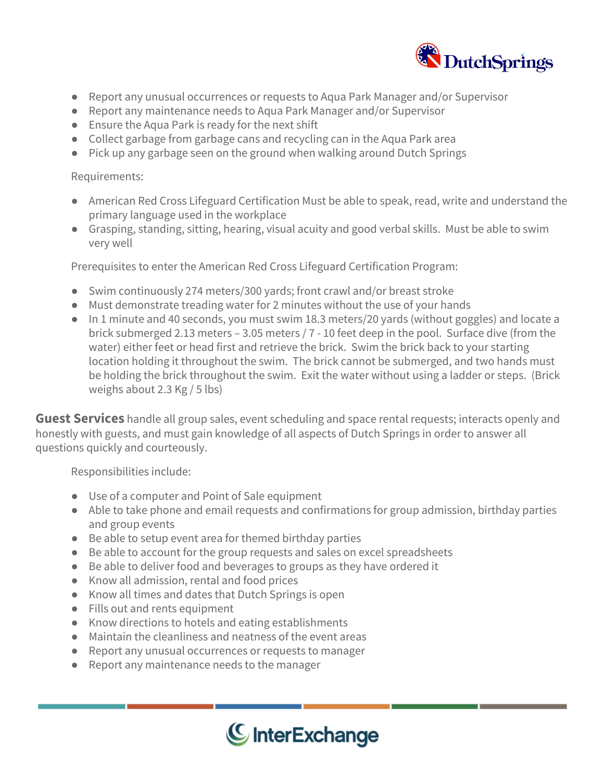![](_page_2_Picture_0.jpeg)

- Report any unusual occurrences or requests to Aqua Park Manager and/or Supervisor
- Report any maintenance needs to Aqua Park Manager and/or Supervisor
- Ensure the Aqua Park is ready for the next shift
- Collect garbage from garbage cans and recycling can in the Aqua Park area
- Pick up any garbage seen on the ground when walking around Dutch Springs

#### Requirements:

- American Red Cross Lifeguard Certification Must be able to speak, read, write and understand the primary language used in the workplace
- Grasping, standing, sitting, hearing, visual acuity and good verbal skills. Must be able to swim very well

Prerequisites to enter the American Red Cross Lifeguard Certification Program:

- Swim continuously 274 meters/300 yards; front crawl and/or breast stroke
- Must demonstrate treading water for 2 minutes without the use of your hands
- In 1 minute and 40 seconds, you must swim 18.3 meters/20 yards (without goggles) and locate a brick submerged 2.13 meters – 3.05 meters / 7 - 10 feet deep in the pool. Surface dive (from the water) either feet or head first and retrieve the brick. Swim the brick back to your starting location holding it throughout the swim. The brick cannot be submerged, and two hands must be holding the brick throughout the swim. Exit the water without using a ladder or steps. (Brick weighs about 2.3 Kg / 5 lbs)

**Guest Services** handle all group sales, event scheduling and space rental requests; interacts openly and honestly with guests, and must gain knowledge of all aspects of Dutch Springs in order to answer all questions quickly and courteously.

Responsibilities include:

- Use of a computer and Point of Sale equipment
- Able to take phone and email requests and confirmations for group admission, birthday parties and group events
- Be able to setup event area for themed birthday parties
- Be able to account for the group requests and sales on excel spreadsheets
- Be able to deliver food and beverages to groups as they have ordered it
- Know all admission, rental and food prices
- Know all times and dates that Dutch Springs is open
- Fills out and rents equipment
- Know directions to hotels and eating establishments
- Maintain the cleanliness and neatness of the event areas
- Report any unusual occurrences or requests to manager
- Report any maintenance needs to the manager

![](_page_2_Picture_27.jpeg)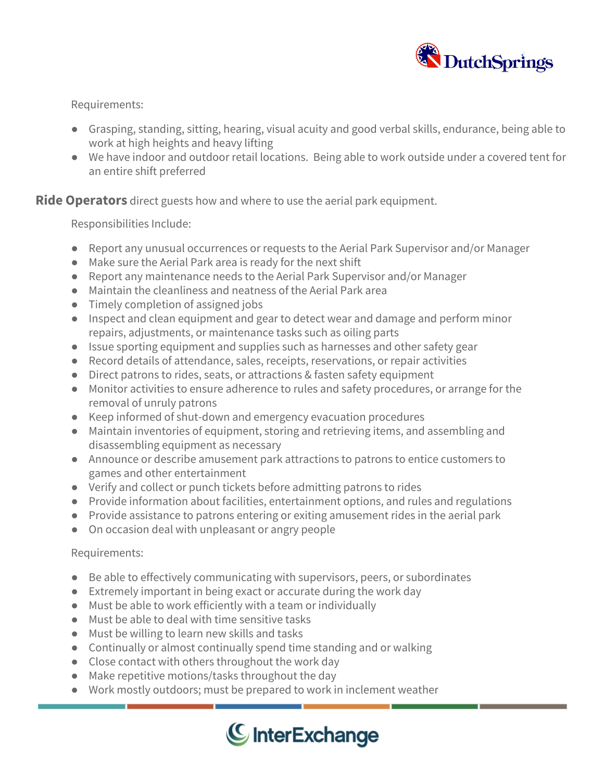![](_page_3_Picture_0.jpeg)

Requirements:

- Grasping, standing, sitting, hearing, visual acuity and good verbal skills, endurance, being able to work at high heights and heavy lifting
- We have indoor and outdoor retail locations. Being able to work outside under a covered tent for an entire shift preferred

**Ride Operators** direct guests how and where to use the aerial park equipment.

Responsibilities Include:

- Report any unusual occurrences or requests to the Aerial Park Supervisor and/or Manager
- Make sure the Aerial Park area is ready for the next shift
- Report any maintenance needs to the Aerial Park Supervisor and/or Manager
- Maintain the cleanliness and neatness of the Aerial Park area
- Timely completion of assigned jobs
- Inspect and clean equipment and gear to detect wear and damage and perform minor repairs, adjustments, or maintenance tasks such as oiling parts
- Issue sporting equipment and supplies such as harnesses and other safety gear
- Record details of attendance, sales, receipts, reservations, or repair activities
- Direct patrons to rides, seats, or attractions & fasten safety equipment
- Monitor activities to ensure adherence to rules and safety procedures, or arrange for the removal of unruly patrons
- Keep informed of shut-down and emergency evacuation procedures
- Maintain inventories of equipment, storing and retrieving items, and assembling and disassembling equipment as necessary
- Announce or describe amusement park attractions to patrons to entice customers to games and other entertainment
- Verify and collect or punch tickets before admitting patrons to rides
- Provide information about facilities, entertainment options, and rules and regulations
- Provide assistance to patrons entering or exiting amusement rides in the aerial park
- On occasion deal with unpleasant or angry people

#### Requirements:

- Be able to effectively communicating with supervisors, peers, or subordinates
- Extremely important in being exact or accurate during the work day
- Must be able to work efficiently with a team or individually
- Must be able to deal with time sensitive tasks
- Must be willing to learn new skills and tasks
- Continually or almost continually spend time standing and or walking
- Close contact with others throughout the work day
- Make repetitive motions/tasks throughout the day
- Work mostly outdoors; must be prepared to work in inclement weather

![](_page_3_Picture_33.jpeg)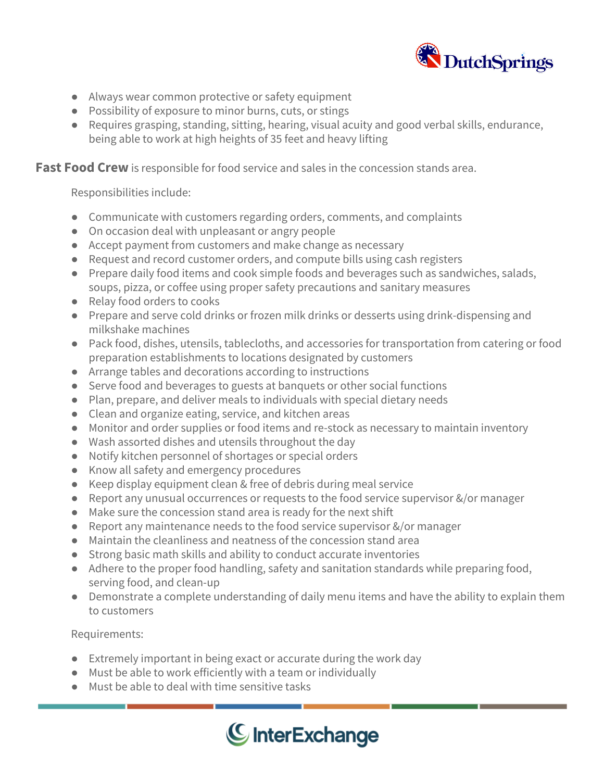![](_page_4_Picture_0.jpeg)

- Always wear common protective or safety equipment
- Possibility of exposure to minor burns, cuts, or stings
- Requires grasping, standing, sitting, hearing, visual acuity and good verbal skills, endurance, being able to work at high heights of 35 feet and heavy lifting

**Fast Food Crew** is responsible for food service and sales in the concession stands area.

Responsibilities include:

- Communicate with customers regarding orders, comments, and complaints
- On occasion deal with unpleasant or angry people
- Accept payment from customers and make change as necessary
- Request and record customer orders, and compute bills using cash registers
- Prepare daily food items and cook simple foods and beverages such as sandwiches, salads, soups, pizza, or coffee using proper safety precautions and sanitary measures
- Relay food orders to cooks
- Prepare and serve cold drinks or frozen milk drinks or desserts using drink-dispensing and milkshake machines
- Pack food, dishes, utensils, tablecloths, and accessories for transportation from catering or food preparation establishments to locations designated by customers
- Arrange tables and decorations according to instructions
- Serve food and beverages to guests at banquets or other social functions
- Plan, prepare, and deliver meals to individuals with special dietary needs
- Clean and organize eating, service, and kitchen areas
- Monitor and order supplies or food items and re-stock as necessary to maintain inventory
- Wash assorted dishes and utensils throughout the day
- Notify kitchen personnel of shortages or special orders
- Know all safety and emergency procedures
- Keep display equipment clean & free of debris during meal service
- Report any unusual occurrences or requests to the food service supervisor &/or manager
- Make sure the concession stand area is ready for the next shift
- Report any maintenance needs to the food service supervisor &/or manager
- Maintain the cleanliness and neatness of the concession stand area
- Strong basic math skills and ability to conduct accurate inventories
- Adhere to the proper food handling, safety and sanitation standards while preparing food, serving food, and clean-up
- Demonstrate a complete understanding of daily menu items and have the ability to explain them to customers

Requirements:

- Extremely important in being exact or accurate during the work day
- Must be able to work efficiently with a team or individually
- Must be able to deal with time sensitive tasks

![](_page_4_Picture_34.jpeg)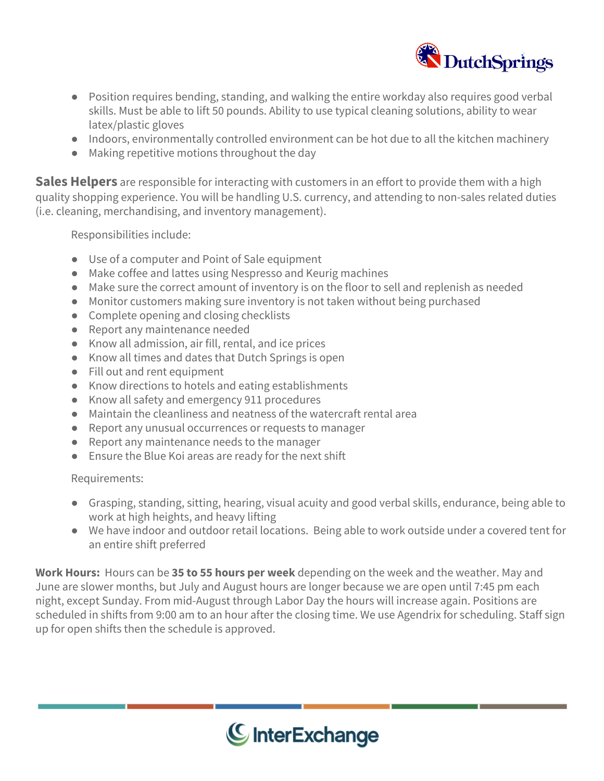![](_page_5_Picture_0.jpeg)

- Position requires bending, standing, and walking the entire workday also requires good verbal skills. Must be able to lift 50 pounds. Ability to use typical cleaning solutions, ability to wear latex/plastic gloves
- Indoors, environmentally controlled environment can be hot due to all the kitchen machinery
- Making repetitive motions throughout the day

**Sales Helpers** are responsible for interacting with customers in an effort to provide them with a high quality shopping experience. You will be handling U.S. currency, and attending to non-sales related duties (i.e. cleaning, merchandising, and inventory management).

Responsibilities include:

- Use of a computer and Point of Sale equipment
- Make coffee and lattes using Nespresso and Keurig machines
- Make sure the correct amount of inventory is on the floor to sell and replenish as needed
- Monitor customers making sure inventory is not taken without being purchased
- Complete opening and closing checklists
- Report any maintenance needed
- Know all admission, air fill, rental, and ice prices
- Know all times and dates that Dutch Springs is open
- Fill out and rent equipment
- Know directions to hotels and eating establishments
- Know all safety and emergency 911 procedures
- $\bullet$  Maintain the cleanliness and neatness of the watercraft rental area
- Report any unusual occurrences or requests to manager
- Report any maintenance needs to the manager
- Ensure the Blue Koi areas are ready for the next shift

Requirements:

- Grasping, standing, sitting, hearing, visual acuity and good verbal skills, endurance, being able to work at high heights, and heavy lifting
- We have indoor and outdoor retail locations. Being able to work outside under a covered tent for an entire shift preferred

**Work Hours:** Hours can be **35 to 55 hours per week** depending on the week and the weather. May and June are slower months, but July and August hours are longer because we are open until 7:45 pm each night, except Sunday. From mid-August through Labor Day the hours will increase again. Positions are scheduled in shifts from 9:00 am to an hour after the closing time. We use Agendrix for scheduling. Staff sign up for open shifts then the schedule is approved.

![](_page_5_Picture_25.jpeg)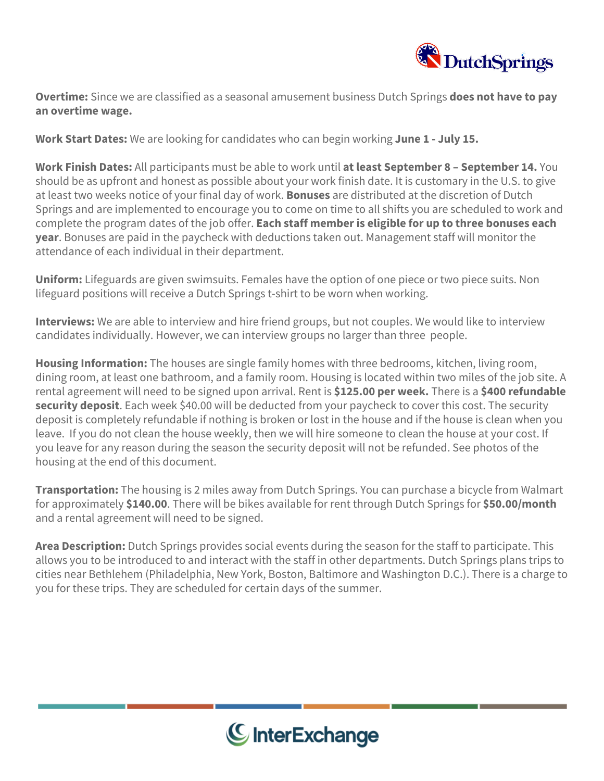![](_page_6_Picture_0.jpeg)

**Overtime:** Since we are classified as a seasonal amusement business Dutch Springs **does not have to pay an overtime wage.**

**Work Start Dates:** We are looking for candidates who can begin working **June 1 - July 15.**

**Work Finish Dates:** All participants must be able to work until **at least September 8 – September 14.** You should be as upfront and honest as possible about your work finish date. It is customary in the U.S. to give at least two weeks notice of your final day of work. **Bonuses** are distributed at the discretion of Dutch Springs and are implemented to encourage you to come on time to all shifts you are scheduled to work and complete the program dates of the job offer. **Each staff member is eligible for up to three bonuses each year**. Bonuses are paid in the paycheck with deductions taken out. Management staff will monitor the attendance of each individual in their department.

**Uniform:** Lifeguards are given swimsuits. Females have the option of one piece or two piece suits. Non lifeguard positions will receive a Dutch Springs t-shirt to be worn when working.

**Interviews:** We are able to interview and hire friend groups, but not couples. We would like to interview candidates individually. However, we can interview groups no larger than three people.

**Housing Information:** The houses are single family homes with three bedrooms, kitchen, living room, dining room, at least one bathroom, and a family room. Housing is located within two miles of the job site. A rental agreement will need to be signed upon arrival. Rent is **\$125.00 per week.** There is a **\$400 refundable security deposit**. Each week \$40.00 will be deducted from your paycheck to cover this cost. The security deposit is completely refundable if nothing is broken or lost in the house and if the house is clean when you leave. If you do not clean the house weekly, then we will hire someone to clean the house at your cost. If you leave for any reason during the season the security deposit will not be refunded. See photos of the housing at the end of this document.

**Transportation:** The housing is 2 miles away from Dutch Springs. You can purchase a bicycle from Walmart for approximately **\$140.00**. There will be bikes available for rent through Dutch Springs for **\$50.00/month** and a rental agreement will need to be signed.

**Area Description:** Dutch Springs provides social events during the season for the staff to participate. This allows you to be introduced to and interact with the staff in other departments. Dutch Springs plans trips to cities near Bethlehem (Philadelphia, New York, Boston, Baltimore and Washington D.C.). There is a charge to you for these trips. They are scheduled for certain days of the summer.

![](_page_6_Picture_9.jpeg)